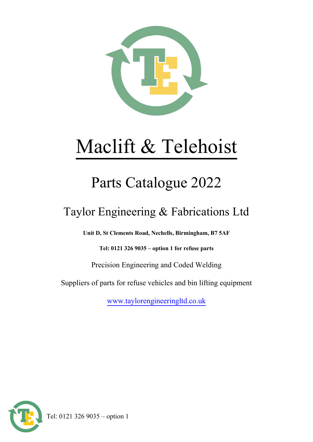

# Maclift & Telehoist

# Parts Catalogue 2022

## Taylor Engineering & Fabrications Ltd

**Unit D, St Clements Road, Nechells, Birmingham, B7 5AF**

**Tel: 0121 326 9035 – option 1 for refuse parts**

Precision Engineering and Coded Welding

Suppliers of parts for refuse vehicles and bin lifting equipment

[www.taylorengineeringltd.co.uk](http://www.taylorengineeringltd.co.uk/)

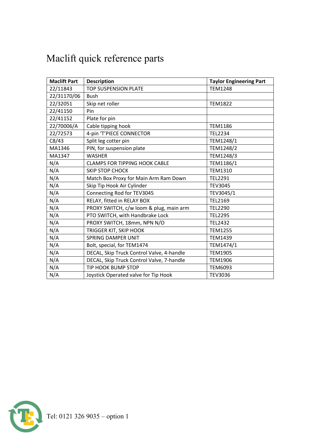| <b>Maclift Part</b> | <b>Description</b>                        | <b>Taylor Engineering Part</b> |
|---------------------|-------------------------------------------|--------------------------------|
| 22/11843            | <b>TOP SUSPENSION PLATE</b>               | <b>TEM1248</b>                 |
| 22/31170/06         | <b>Bush</b>                               |                                |
| 22/32051            | Skip net roller                           | <b>TEM1822</b>                 |
| 22/41150            | Pin                                       |                                |
| 22/41152            | Plate for pin                             |                                |
| 22/70006/A          | Cable tipping hook                        | <b>TEM1186</b>                 |
| 22/72573            | 4-pin 'T'PIECE CONNECTOR                  | <b>TEL2234</b>                 |
| C8/43               | Split leg cotter pin                      | TEM1248/1                      |
| MA1346              | PIN, for suspension plate                 | TEM1248/2                      |
| MA1347              | <b>WASHER</b>                             | TEM1248/3                      |
| N/A                 | <b>CLAMPS FOR TIPPING HOOK CABLE</b>      | TEM1186/1                      |
| N/A                 | <b>SKIP STOP CHOCK</b>                    | <b>TEM1310</b>                 |
| N/A                 | Match Box Proxy for Main Arm Ram Down     | <b>TEL2291</b>                 |
| N/A                 | Skip Tip Hook Air Cylinder                | <b>TEV3045</b>                 |
| N/A                 | Connecting Rod for TEV3045                | TEV3045/1                      |
| N/A                 | RELAY, fitted in RELAY BOX                | <b>TEL2169</b>                 |
| N/A                 | PROXY SWITCH, c/w loom & plug, main arm   | <b>TEL2290</b>                 |
| N/A                 | PTO SWITCH, with Handbrake Lock           | <b>TEL2295</b>                 |
| N/A                 | PROXY SWITCH, 18mm, NPN N/O               | <b>TEL2432</b>                 |
| N/A                 | TRIGGER KIT, SKIP HOOK                    | <b>TEM1255</b>                 |
| N/A                 | <b>SPRING DAMPER UNIT</b>                 | <b>TEM1439</b>                 |
| N/A                 | Bolt, special, for TEM1474                | TEM1474/1                      |
| N/A                 | DECAL, Skip Truck Control Valve, 4-handle | <b>TEM1905</b>                 |
| N/A                 | DECAL, Skip Truck Control Valve, 7-handle | <b>TEM1906</b>                 |
| N/A                 | <b>TIP HOOK BUMP STOP</b>                 | <b>TEM6093</b>                 |
| N/A                 | Joystick Operated valve for Tip Hook      | <b>TEV3036</b>                 |

## Maclift quick reference parts

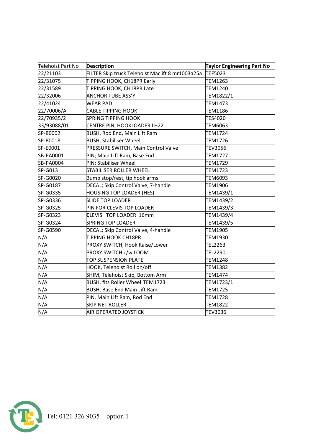| Telehoist Part No | <b>Description</b>                               | <b>Taylor Engineering Part No</b> |
|-------------------|--------------------------------------------------|-----------------------------------|
| 22/21103          | FILTER Skip truck Telehoist Maclift 8 mr1003a25a | TEF5023                           |
| 22/31075          | TIPPING HOOK, CH18PR Early                       | <b>TEM1263</b>                    |
| 22/31589          | TIPPING HOOK, CH18PR Late                        | <b>TEM1240</b>                    |
| 22/32006          | <b>ANCHOR TUBE ASS'Y</b>                         | TEM1822/1                         |
| 22/41024          | <b>WEAR PAD</b>                                  | <b>TEM1473</b>                    |
| 22/70006/A        | <b>CABLE TIPPING HOOK</b>                        | <b>TEM1186</b>                    |
| 22/70935/2        | <b>SPRING TIPPING HOOK</b>                       | TES4020                           |
| 33/93088/01       | CENTRE PIN, HOOKLOADER LH22                      | <b>TEM6063</b>                    |
| SP-B0002          | <b>BUSH, Rod End, Main Lift Ram</b>              | TEM1724                           |
| SP-B0018          | <b>BUSH, Stabiliser Wheel</b>                    | <b>TEM1726</b>                    |
| SP-E0001          | PRESSURE SWITCH, Main Control Valve              | <b>TEV3056</b>                    |
| SB-PA0001         | PIN; Main Lift Ram, Base End                     | <b>TEM1727</b>                    |
| SB-PA0004         | PIN; Stabiliser Wheel                            | TEM1729                           |
| SP-G013           | STABILISER ROLLER WHEEL                          | TEM1723                           |
| SP-G0020          | Bump stop/rest, tip hook arms                    | <b>TEM6093</b>                    |
| SP-G0187          | DECAL; Skip Control Valve, 7-handle              | <b>TEM1906</b>                    |
| SP-G0335          | <b>HOUSING TOP LOADER (HES)</b>                  | TEM1439/1                         |
| SP-G0336          | <b>SLIDE TOP LOADER</b>                          | TEM1439/2                         |
| SP-G0325          | PIN FOR CLEVIS TOP LOADER                        | TEM1439/3                         |
| SP-G0323          | CLEVIS TOP LOADER 16mm                           | TEM1439/4                         |
| SP-G0324          | <b>SPRING TOP LOADER</b>                         | TEM1439/5                         |
| SP-G0590          | DECAL; Skip Control Valve, 4-handle              | <b>TEM1905</b>                    |
| N/A               | <b>TIPPING HOOK CH18PR</b>                       | <b>TEM1930</b>                    |
| N/A               | PROXY SWITCH, Hook Raise/Lower                   | TEL2263                           |
| N/A               | PROXY SWITCH c/w LOOM                            | <b>TEL2290</b>                    |
| N/A               | <b>TOP SUSPENSION PLATE</b>                      | <b>TEM1248</b>                    |
| N/A               | HOOK, Telehoist Roll on/off                      | <b>TEM1382</b>                    |
| N/A               | SHIM, Telehoist Skip, Bottom Arm                 | <b>TEM1474</b>                    |
| N/A               | BUSH, fits Roller Wheel TEM1723                  | TEM1723/1                         |
| N/A               | <b>BUSH, Base End Main Lift Ram</b>              | <b>TEM1725</b>                    |
| N/A               | PIN, Main Lift Ram, Rod End                      | <b>TEM1728</b>                    |
| N/A               | <b>SKIP NET ROLLER</b>                           | <b>TEM1822</b>                    |
| N/A               | AIR OPERATED JOYSTICK                            | <b>TEV3036</b>                    |

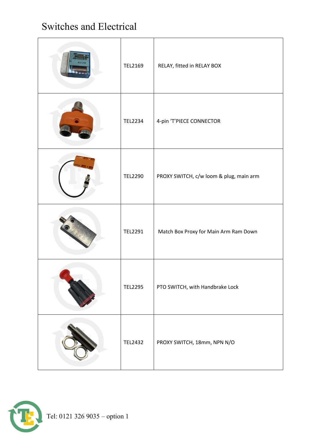#### Switches and Electrical

| TEL2169        | RELAY, fitted in RELAY BOX              |
|----------------|-----------------------------------------|
| <b>TEL2234</b> | 4-pin 'T'PIECE CONNECTOR                |
| <b>TEL2290</b> | PROXY SWITCH, c/w loom & plug, main arm |
| TEL2291        | Match Box Proxy for Main Arm Ram Down   |
| TEL2295        | PTO SWITCH, with Handbrake Lock         |
| <b>TEL2432</b> | PROXY SWITCH, 18mm, NPN N/O             |

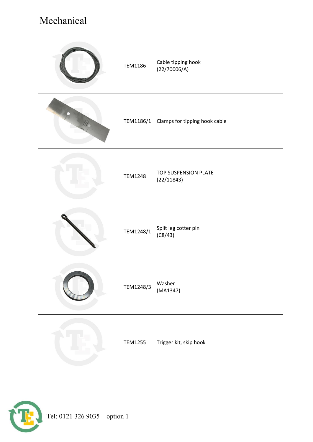#### Mechanical

| <b>TEM1186</b> | Cable tipping hook<br>(22/70006/A) |
|----------------|------------------------------------|
| TEM1186/1      | Clamps for tipping hook cable      |
| <b>TEM1248</b> | TOP SUSPENSION PLATE<br>(22/11843) |
| TEM1248/1      | Split leg cotter pin<br>(C8/43)    |
| TEM1248/3      | Washer<br>(MA1347)                 |
| <b>TEM1255</b> | Trigger kit, skip hook             |

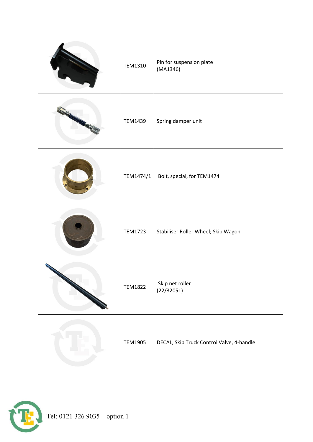| TEM1310        | Pin for suspension plate<br>(MA1346)      |
|----------------|-------------------------------------------|
| TEM1439        | Spring damper unit                        |
| TEM1474/1      | Bolt, special, for TEM1474                |
| <b>TEM1723</b> | Stabiliser Roller Wheel; Skip Wagon       |
| <b>TEM1822</b> | Skip net roller<br>(22/32051)             |
| <b>TEM1905</b> | DECAL, Skip Truck Control Valve, 4-handle |

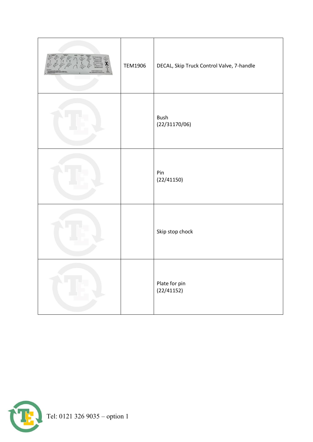| <b>TEM1906</b> | DECAL, Skip Truck Control Valve, 7-handle |
|----------------|-------------------------------------------|
|                | <b>Bush</b><br>(22/31170/06)              |
|                | Pin<br>(22/41150)                         |
|                | Skip stop chock                           |
|                | Plate for pin<br>(22/41152)               |

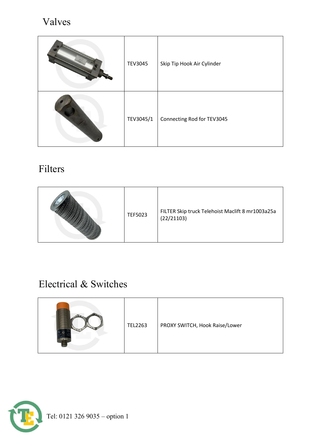#### Valves

| <b>TEV3045</b> | Skip Tip Hook Air Cylinder |
|----------------|----------------------------|
| TEV3045/1      | Connecting Rod for TEV3045 |

#### Filters

#### Electrical & Switches

|  | <b>TEL2263</b> | PROXY SWITCH, Hook Raise/Lower |
|--|----------------|--------------------------------|
|--|----------------|--------------------------------|

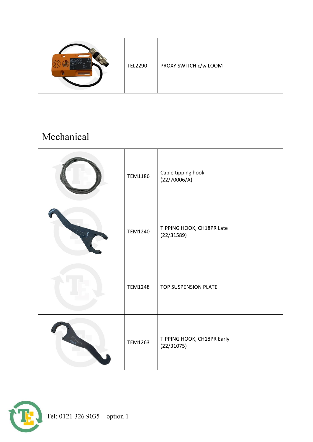|  | <b>TEL2290</b> | PROXY SWITCH c/w LOOM |
|--|----------------|-----------------------|
|--|----------------|-----------------------|

#### Mechanical

| <b>TEM1186</b> | Cable tipping hook<br>(22/70006/A)       |
|----------------|------------------------------------------|
| <b>TEM1240</b> | TIPPING HOOK, CH18PR Late<br>(22/31589)  |
| <b>TEM1248</b> | TOP SUSPENSION PLATE                     |
| <b>TEM1263</b> | TIPPING HOOK, CH18PR Early<br>(22/31075) |

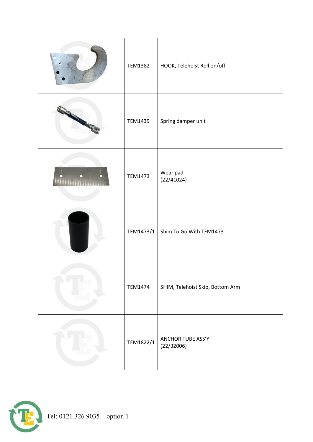| <b>TEM1382</b> | HOOK, Telehoist Roll on/off      |
|----------------|----------------------------------|
| <b>TEM1439</b> | Spring damper unit               |
| <b>TEM1473</b> | Wear pad<br>(22/41024)           |
| TEM1473/1      | Shim To Go With TEM1473          |
| <b>TEM1474</b> | SHIM, Telehoist Skip, Bottom Arm |
| TEM1822/1      | ANCHOR TUBE ASS'Y<br>(22/32006)  |

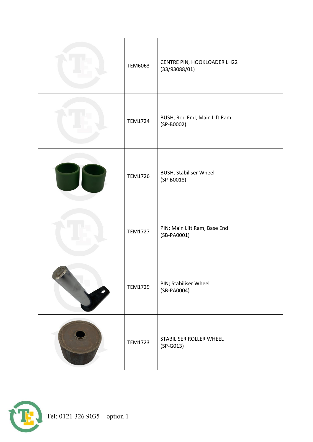| <b>TEM6063</b> | CENTRE PIN, HOOKLOADER LH22<br>(33/93088/01)  |
|----------------|-----------------------------------------------|
| <b>TEM1724</b> | BUSH, Rod End, Main Lift Ram<br>(SP-B0002)    |
| <b>TEM1726</b> | <b>BUSH, Stabiliser Wheel</b><br>$(SP-BOO18)$ |
| <b>TEM1727</b> | PIN; Main Lift Ram, Base End<br>(SB-PA0001)   |
| <b>TEM1729</b> | PIN; Stabiliser Wheel<br>(SB-PA0004)          |
| <b>TEM1723</b> | STABILISER ROLLER WHEEL<br>$(SP-G013)$        |

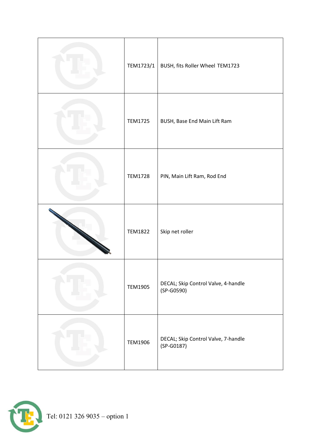| TEM1723/1      | BUSH, fits Roller Wheel TEM1723                     |
|----------------|-----------------------------------------------------|
| <b>TEM1725</b> | BUSH, Base End Main Lift Ram                        |
| <b>TEM1728</b> | PIN, Main Lift Ram, Rod End                         |
| <b>TEM1822</b> | Skip net roller                                     |
| <b>TEM1905</b> | DECAL; Skip Control Valve, 4-handle<br>$(SP-G0590)$ |
| <b>TEM1906</b> | DECAL; Skip Control Valve, 7-handle<br>$(SP-G0187)$ |

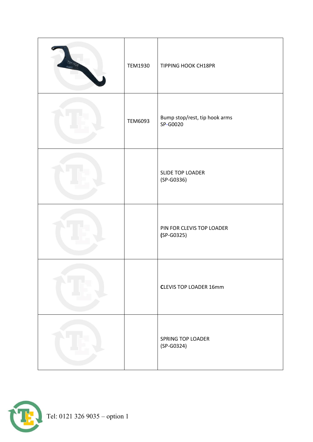| <b>TEM1930</b> | <b>TIPPING HOOK CH18PR</b>                |
|----------------|-------------------------------------------|
| <b>TEM6093</b> | Bump stop/rest, tip hook arms<br>SP-G0020 |
|                | SLIDE TOP LOADER<br>$(SP-G0336)$          |
|                | PIN FOR CLEVIS TOP LOADER<br>$(SP-G0325)$ |
|                | <b>CLEVIS TOP LOADER 16mm</b>             |
|                | SPRING TOP LOADER<br>(SP-G0324)           |